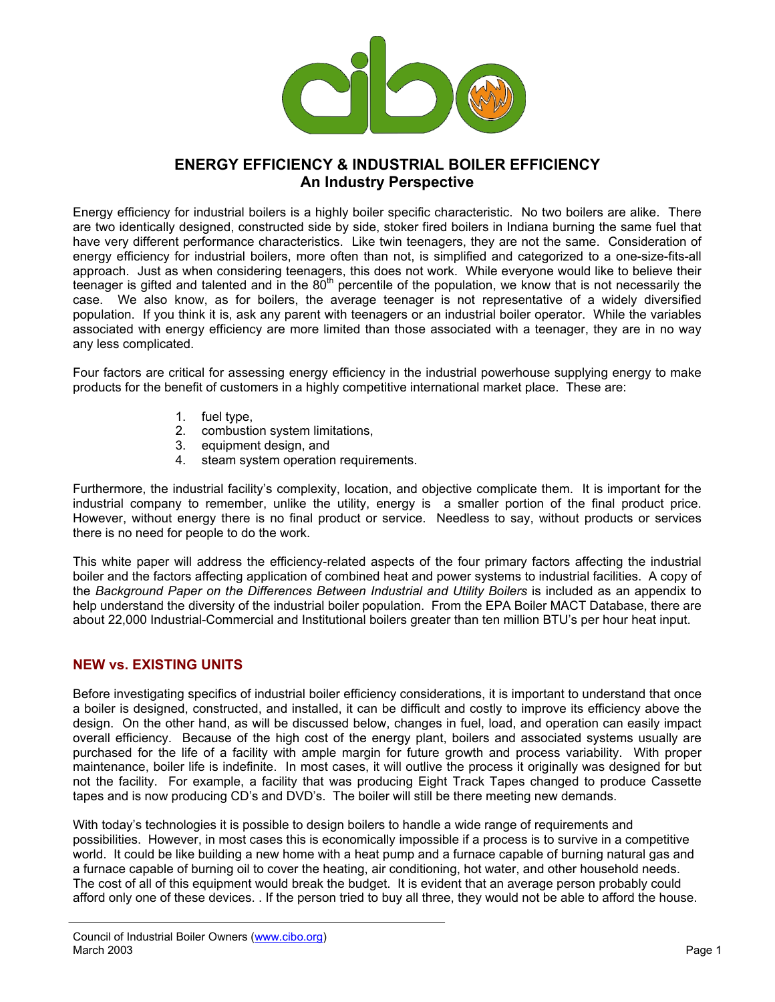

# **ENERGY EFFICIENCY & INDUSTRIAL BOILER EFFICIENCY An Industry Perspective**

Energy efficiency for industrial boilers is a highly boiler specific characteristic. No two boilers are alike. There are two identically designed, constructed side by side, stoker fired boilers in Indiana burning the same fuel that have very different performance characteristics. Like twin teenagers, they are not the same. Consideration of energy efficiency for industrial boilers, more often than not, is simplified and categorized to a one-size-fits-all approach. Just as when considering teenagers, this does not work. While everyone would like to believe their teenager is gifted and talented and in the  $80<sup>th</sup>$  percentile of the population, we know that is not necessarily the case. We also know, as for boilers, the average teenager is not representative of a widely diversified population. If you think it is, ask any parent with teenagers or an industrial boiler operator. While the variables associated with energy efficiency are more limited than those associated with a teenager, they are in no way any less complicated.

Four factors are critical for assessing energy efficiency in the industrial powerhouse supplying energy to make products for the benefit of customers in a highly competitive international market place. These are:

- 1. fuel type,
- 2. combustion system limitations,
- 3. equipment design, and
- 4. steam system operation requirements.

Furthermore, the industrial facility's complexity, location, and objective complicate them. It is important for the industrial company to remember, unlike the utility, energy is a smaller portion of the final product price. However, without energy there is no final product or service. Needless to say, without products or services there is no need for people to do the work.

This white paper will address the efficiency-related aspects of the four primary factors affecting the industrial boiler and the factors affecting application of combined heat and power systems to industrial facilities. A copy of the Background Paper on the Differences Between Industrial and Utility Boilers is included as an appendix to help understand the diversity of the industrial boiler population. From the EPA Boiler MACT Database, there are about 22,000 Industrial-Commercial and Institutional boilers greater than ten million BTU's per hour heat input.

#### **NEW vs. EXISTING UNITS**

Before investigating specifics of industrial boiler efficiency considerations, it is important to understand that once a boiler is designed, constructed, and installed, it can be difficult and costly to improve its efficiency above the design. On the other hand, as will be discussed below, changes in fuel, load, and operation can easily impact overall efficiency. Because of the high cost of the energy plant, boilers and associated systems usually are purchased for the life of a facility with ample margin for future growth and process variability. With proper maintenance, boiler life is indefinite. In most cases, it will outlive the process it originally was designed for but not the facility. For example, a facility that was producing Eight Track Tapes changed to produce Cassette tapes and is now producing CD's and DVD's. The boiler will still be there meeting new demands.

With today's technologies it is possible to design boilers to handle a wide range of requirements and possibilities. However, in most cases this is economically impossible if a process is to survive in a competitive world. It could be like building a new home with a heat pump and a furnace capable of burning natural gas and a furnace capable of burning oil to cover the heating, air conditioning, hot water, and other household needs. The cost of all of this equipment would break the budget. It is evident that an average person probably could afford only one of these devices. . If the person tried to buy all three, they would not be able to afford the house.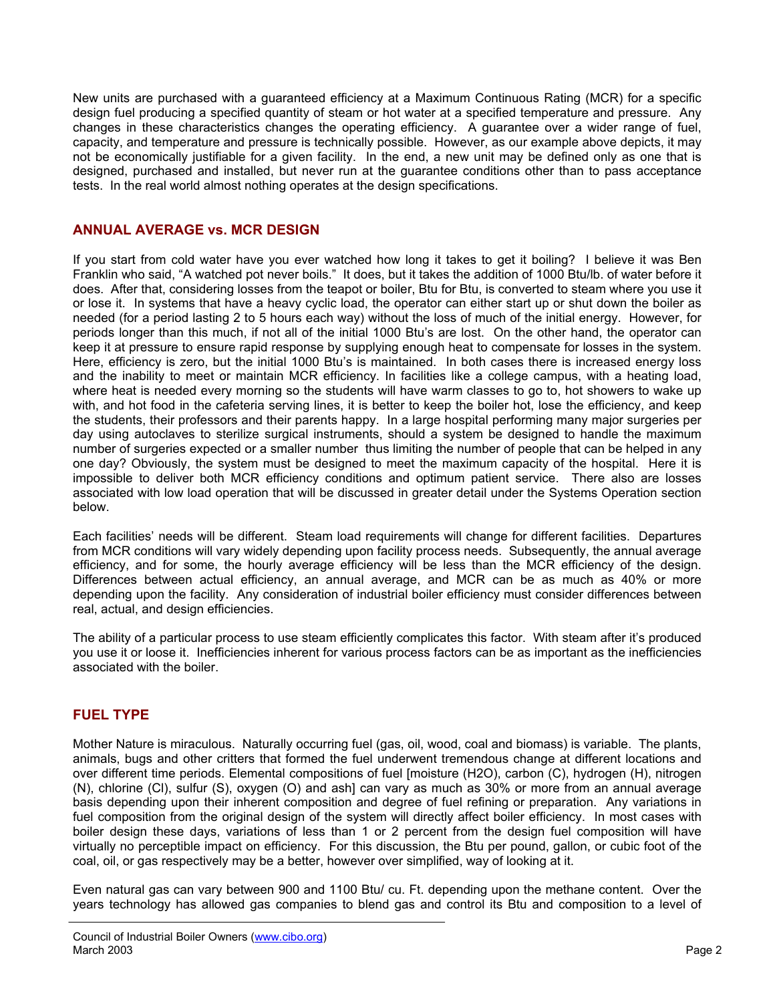New units are purchased with a guaranteed efficiency at a Maximum Continuous Rating (MCR) for a specific design fuel producing a specified quantity of steam or hot water at a specified temperature and pressure. Any changes in these characteristics changes the operating efficiency. A guarantee over a wider range of fuel, capacity, and temperature and pressure is technically possible. However, as our example above depicts, it may not be economically justifiable for a given facility. In the end, a new unit may be defined only as one that is designed, purchased and installed, but never run at the guarantee conditions other than to pass acceptance tests. In the real world almost nothing operates at the design specifications.

### **ANNUAL AVERAGE vs. MCR DESIGN**

If you start from cold water have you ever watched how long it takes to get it boiling? I believe it was Ben Franklin who said, "A watched pot never boils." It does, but it takes the addition of 1000 Btu/lb. of water before it does. After that, considering losses from the teapot or boiler, Btu for Btu, is converted to steam where you use it or lose it. In systems that have a heavy cyclic load, the operator can either start up or shut down the boiler as needed (for a period lasting 2 to 5 hours each way) without the loss of much of the initial energy. However, for periods longer than this much, if not all of the initial 1000 Btu's are lost. On the other hand, the operator can keep it at pressure to ensure rapid response by supplying enough heat to compensate for losses in the system. Here, efficiency is zero, but the initial 1000 Btu's is maintained. In both cases there is increased energy loss and the inability to meet or maintain MCR efficiency. In facilities like a college campus, with a heating load, where heat is needed every morning so the students will have warm classes to go to, hot showers to wake up with, and hot food in the cafeteria serving lines, it is better to keep the boiler hot, lose the efficiency, and keep the students, their professors and their parents happy. In a large hospital performing many major surgeries per day using autoclaves to sterilize surgical instruments, should a system be designed to handle the maximum number of surgeries expected or a smaller number thus limiting the number of people that can be helped in any one day? Obviously, the system must be designed to meet the maximum capacity of the hospital. Here it is impossible to deliver both MCR efficiency conditions and optimum patient service. There also are losses associated with low load operation that will be discussed in greater detail under the Systems Operation section below.

Each facilities' needs will be different. Steam load requirements will change for different facilities. Departures from MCR conditions will vary widely depending upon facility process needs. Subsequently, the annual average efficiency, and for some, the hourly average efficiency will be less than the MCR efficiency of the design. Differences between actual efficiency, an annual average, and MCR can be as much as 40% or more depending upon the facility. Any consideration of industrial boiler efficiency must consider differences between real, actual, and design efficiencies.

The ability of a particular process to use steam efficiently complicates this factor. With steam after it's produced you use it or loose it. Inefficiencies inherent for various process factors can be as important as the inefficiencies associated with the boiler.

# **FUEL TYPE**

Mother Nature is miraculous. Naturally occurring fuel (gas, oil, wood, coal and biomass) is variable. The plants, animals, bugs and other critters that formed the fuel underwent tremendous change at different locations and over different time periods. Elemental compositions of fuel [moisture (H2O), carbon (C), hydrogen (H), nitrogen (N), chlorine (Cl), sulfur (S), oxygen (O) and ash] can vary as much as 30% or more from an annual average basis depending upon their inherent composition and degree of fuel refining or preparation. Any variations in fuel composition from the original design of the system will directly affect boiler efficiency. In most cases with boiler design these days, variations of less than 1 or 2 percent from the design fuel composition will have virtually no perceptible impact on efficiency. For this discussion, the Btu per pound, gallon, or cubic foot of the coal, oil, or gas respectively may be a better, however over simplified, way of looking at it.

Even natural gas can vary between 900 and 1100 Btu/ cu. Ft. depending upon the methane content. Over the years technology has allowed gas companies to blend gas and control its Btu and composition to a level of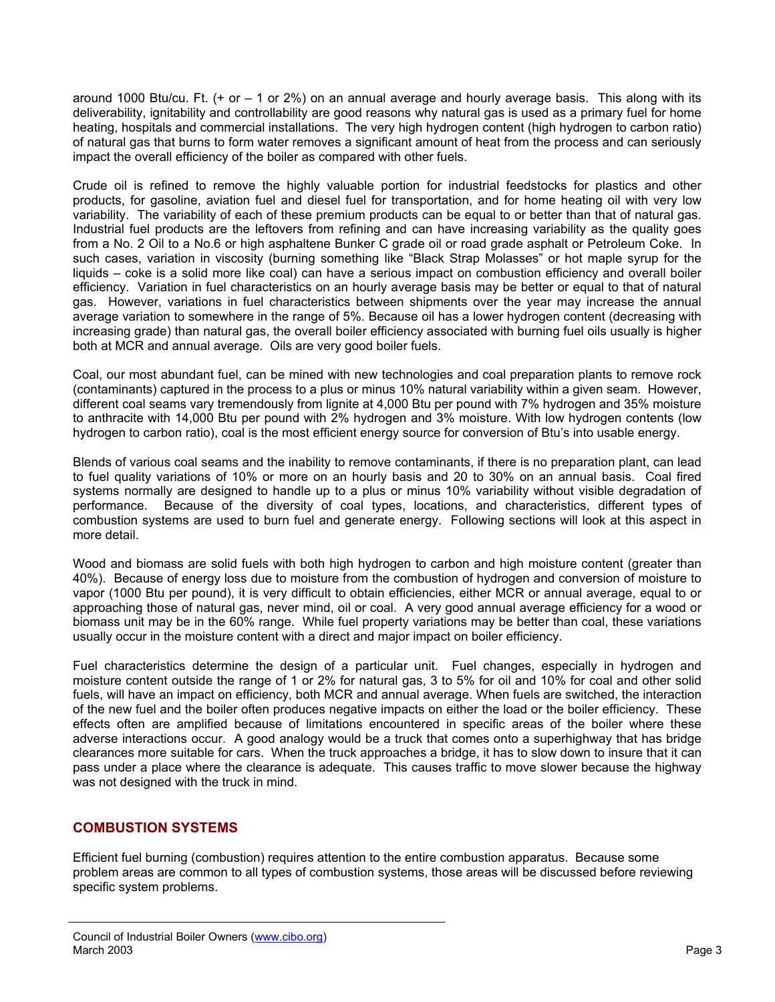around 1000 Btu/cu. Ft. (+ or – 1 or 2%) on an annual average and hourly average basis. This along with its deliverability, ignitability and controllability are good reasons why natural gas is used as a primary fuel for home heating, hospitals and commercial installations. The very high hydrogen content (high hydrogen to carbon ratio) of natural gas that burns to form water removes a significant amount of heat from the process and can seriously impact the overall efficiency of the boiler as compared with other fuels.

Crude oil is refined to remove the highly valuable portion for industrial feedstocks for plastics and other products, for gasoline, aviation fuel and diesel fuel for transportation, and for home heating oil with very low variability. The variability of each of these premium products can be equal to or better than that of natural gas. Industrial fuel products are the leftovers from refining and can have increasing variability as the quality goes from a No. 2 Oil to a No.6 or high asphaltene Bunker C grade oil or road grade asphalt or Petroleum Coke. In such cases, variation in viscosity (burning something like "Black Strap Molasses" or hot maple syrup for the liquids – coke is a solid more like coal) can have a serious impact on combustion efficiency and overall boiler efficiency. Variation in fuel characteristics on an hourly average basis may be better or equal to that of natural gas. However, variations in fuel characteristics between shipments over the year may increase the annual average variation to somewhere in the range of 5%. Because oil has a lower hydrogen content (decreasing with increasing grade) than natural gas, the overall boiler efficiency associated with burning fuel oils usually is higher both at MCR and annual average. Oils are very good boiler fuels.

Coal, our most abundant fuel, can be mined with new technologies and coal preparation plants to remove rock (contaminants) captured in the process to a plus or minus 10% natural variability within a given seam. However, different coal seams vary tremendously from lignite at 4,000 Btu per pound with 7% hydrogen and 35% moisture to anthracite with 14,000 Btu per pound with 2% hydrogen and 3% moisture. With low hydrogen contents (low hydrogen to carbon ratio), coal is the most efficient energy source for conversion of Btu's into usable energy.

Blends of various coal seams and the inability to remove contaminants, if there is no preparation plant, can lead to fuel quality variations of 10% or more on an hourly basis and 20 to 30% on an annual basis. Coal fired systems normally are designed to handle up to a plus or minus 10% variability without visible degradation of performance. Because of the diversity of coal types, locations, and characteristics, different types of combustion systems are used to burn fuel and generate energy. Following sections will look at this aspect in more detail.

Wood and biomass are solid fuels with both high hydrogen to carbon and high moisture content (greater than 40%). Because of energy loss due to moisture from the combustion of hydrogen and conversion of moisture to vapor (1000 Btu per pound), it is very difficult to obtain efficiencies, either MCR or annual average, equal to or approaching those of natural gas, never mind, oil or coal. A very good annual average efficiency for a wood or biomass unit may be in the 60% range. While fuel property variations may be better than coal, these variations usually occur in the moisture content with a direct and major impact on boiler efficiency.

Fuel characteristics determine the design of a particular unit. Fuel changes, especially in hydrogen and moisture content outside the range of 1 or 2% for natural gas, 3 to 5% for oil and 10% for coal and other solid fuels, will have an impact on efficiency, both MCR and annual average. When fuels are switched, the interaction of the new fuel and the boiler often produces negative impacts on either the load or the boiler efficiency. These effects often are amplified because of limitations encountered in specific areas of the boiler where these adverse interactions occur. A good analogy would be a truck that comes onto a superhighway that has bridge clearances more suitable for cars. When the truck approaches a bridge, it has to slow down to insure that it can pass under a place where the clearance is adequate. This causes traffic to move slower because the highway was not designed with the truck in mind.

# **COMBUSTION SYSTEMS**

Efficient fuel burning (combustion) requires attention to the entire combustion apparatus. Because some problem areas are common to all types of combustion systems, those areas will be discussed before reviewing specific system problems.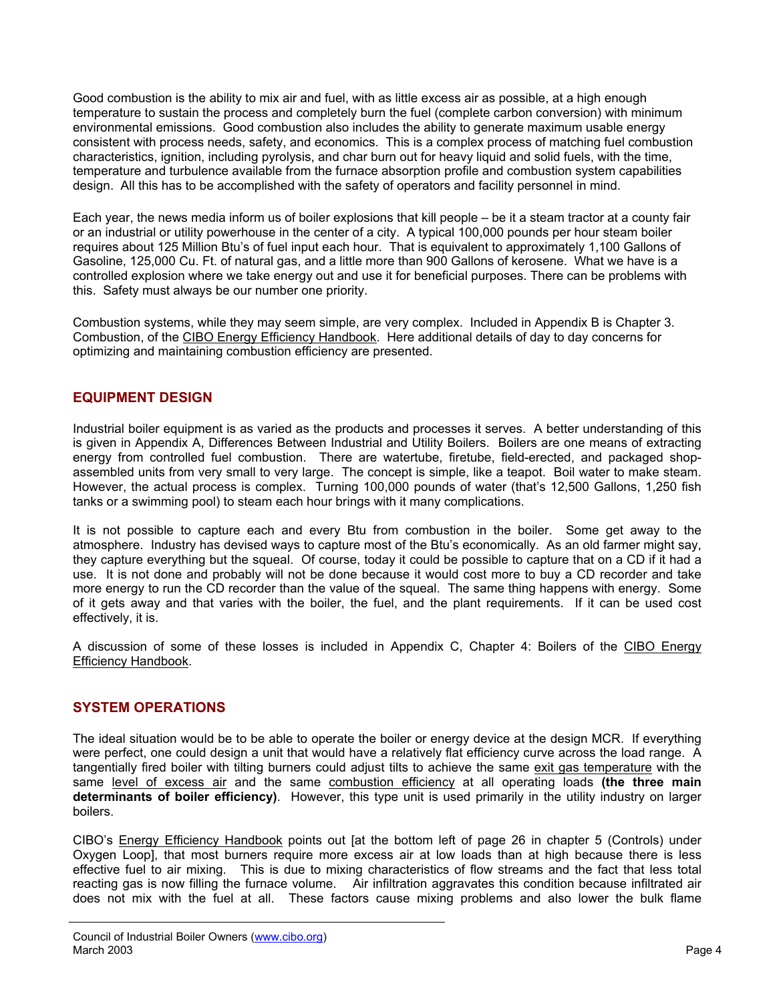Good combustion is the ability to mix air and fuel, with as little excess air as possible, at a high enough temperature to sustain the process and completely burn the fuel (complete carbon conversion) with minimum environmental emissions. Good combustion also includes the ability to generate maximum usable energy consistent with process needs, safety, and economics. This is a complex process of matching fuel combustion characteristics, ignition, including pyrolysis, and char burn out for heavy liquid and solid fuels, with the time, temperature and turbulence available from the furnace absorption profile and combustion system capabilities design. All this has to be accomplished with the safety of operators and facility personnel in mind.

Each year, the news media inform us of boiler explosions that kill people – be it a steam tractor at a county fair or an industrial or utility powerhouse in the center of a city. A typical 100,000 pounds per hour steam boiler requires about 125 Million Btu's of fuel input each hour. That is equivalent to approximately 1,100 Gallons of Gasoline, 125,000 Cu. Ft. of natural gas, and a little more than 900 Gallons of kerosene. What we have is a controlled explosion where we take energy out and use it for beneficial purposes. There can be problems with this. Safety must always be our number one priority.

Combustion systems, while they may seem simple, are very complex. Included in Appendix B is Chapter 3. Combustion, of the CIBO Energy Efficiency Handbook. Here additional details of day to day concerns for optimizing and maintaining combustion efficiency are presented.

# **EQUIPMENT DESIGN**

Industrial boiler equipment is as varied as the products and processes it serves. A better understanding of this is given in Appendix A, Differences Between Industrial and Utility Boilers. Boilers are one means of extracting energy from controlled fuel combustion. There are watertube, firetube, field-erected, and packaged shopassembled units from very small to very large. The concept is simple, like a teapot. Boil water to make steam. However, the actual process is complex. Turning 100,000 pounds of water (that's 12,500 Gallons, 1,250 fish tanks or a swimming pool) to steam each hour brings with it many complications.

It is not possible to capture each and every Btu from combustion in the boiler. Some get away to the atmosphere. Industry has devised ways to capture most of the Btu's economically. As an old farmer might say, they capture everything but the squeal. Of course, today it could be possible to capture that on a CD if it had a use. It is not done and probably will not be done because it would cost more to buy a CD recorder and take more energy to run the CD recorder than the value of the squeal. The same thing happens with energy. Some of it gets away and that varies with the boiler, the fuel, and the plant requirements. If it can be used cost effectively, it is.

A discussion of some of these losses is included in Appendix C, Chapter 4: Boilers of the CIBO Energy Efficiency Handbook.

# **SYSTEM OPERATIONS**

The ideal situation would be to be able to operate the boiler or energy device at the design MCR. If everything were perfect, one could design a unit that would have a relatively flat efficiency curve across the load range. A tangentially fired boiler with tilting burners could adjust tilts to achieve the same exit gas temperature with the same level of excess air and the same combustion efficiency at all operating loads **(the three main determinants of boiler efficiency)**. However, this type unit is used primarily in the utility industry on larger boilers.

CIBO's Energy Efficiency Handbook points out [at the bottom left of page 26 in chapter 5 (Controls) under Oxygen Loop], that most burners require more excess air at low loads than at high because there is less effective fuel to air mixing. This is due to mixing characteristics of flow streams and the fact that less total reacting gas is now filling the furnace volume. Air infiltration aggravates this condition because infiltrated air does not mix with the fuel at all. These factors cause mixing problems and also lower the bulk flame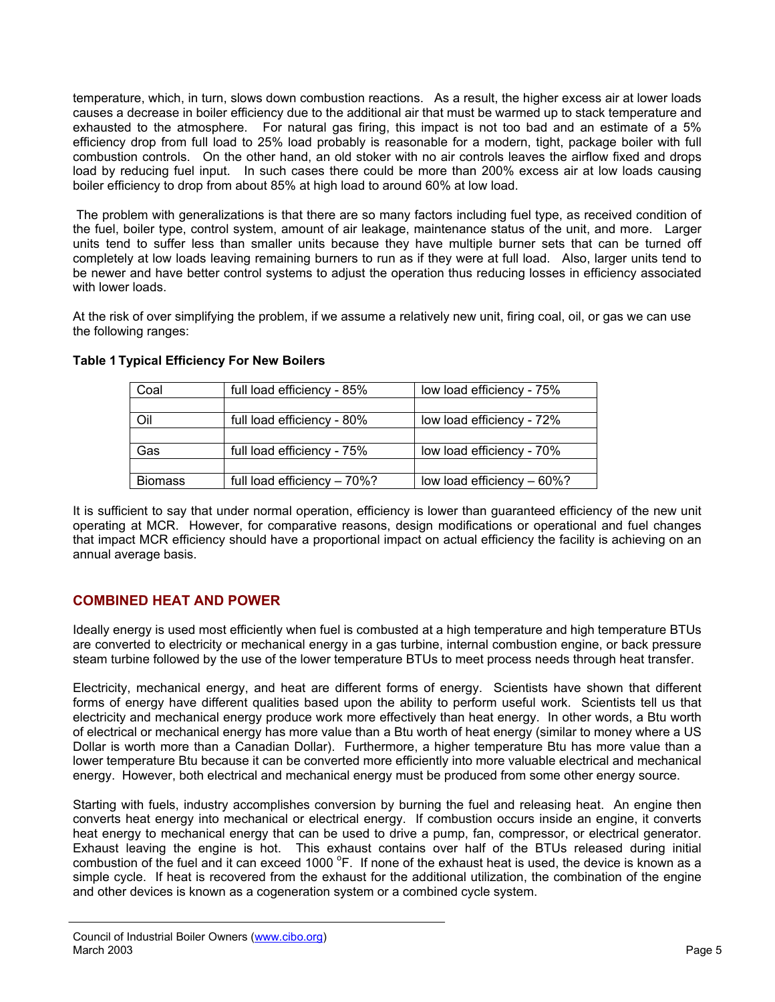temperature, which, in turn, slows down combustion reactions. As a result, the higher excess air at lower loads causes a decrease in boiler efficiency due to the additional air that must be warmed up to stack temperature and exhausted to the atmosphere. For natural gas firing, this impact is not too bad and an estimate of a 5% efficiency drop from full load to 25% load probably is reasonable for a modern, tight, package boiler with full combustion controls. On the other hand, an old stoker with no air controls leaves the airflow fixed and drops load by reducing fuel input. In such cases there could be more than 200% excess air at low loads causing boiler efficiency to drop from about 85% at high load to around 60% at low load.

The problem with generalizations is that there are so many factors including fuel type, as received condition of the fuel, boiler type, control system, amount of air leakage, maintenance status of the unit, and more. Larger units tend to suffer less than smaller units because they have multiple burner sets that can be turned off completely at low loads leaving remaining burners to run as if they were at full load. Also, larger units tend to be newer and have better control systems to adjust the operation thus reducing losses in efficiency associated with lower loads.

At the risk of over simplifying the problem, if we assume a relatively new unit, firing coal, oil, or gas we can use the following ranges:

| Coal           | full load efficiency - 85%  | low load efficiency - 75%  |
|----------------|-----------------------------|----------------------------|
|                |                             |                            |
| Oil            | full load efficiency - 80%  | low load efficiency - 72%  |
|                |                             |                            |
| Gas            | full load efficiency - 75%  | low load efficiency - 70%  |
|                |                             |                            |
| <b>Biomass</b> | full load efficiency - 70%? | low load efficiency - 60%? |

#### **Table 1 Typical Efficiency For New Boilers**

It is sufficient to say that under normal operation, efficiency is lower than guaranteed efficiency of the new unit operating at MCR. However, for comparative reasons, design modifications or operational and fuel changes that impact MCR efficiency should have a proportional impact on actual efficiency the facility is achieving on an annual average basis.

# **COMBINED HEAT AND POWER**

Ideally energy is used most efficiently when fuel is combusted at a high temperature and high temperature BTUs are converted to electricity or mechanical energy in a gas turbine, internal combustion engine, or back pressure steam turbine followed by the use of the lower temperature BTUs to meet process needs through heat transfer.

Electricity, mechanical energy, and heat are different forms of energy. Scientists have shown that different forms of energy have different qualities based upon the ability to perform useful work. Scientists tell us that electricity and mechanical energy produce work more effectively than heat energy. In other words, a Btu worth of electrical or mechanical energy has more value than a Btu worth of heat energy (similar to money where a US Dollar is worth more than a Canadian Dollar). Furthermore, a higher temperature Btu has more value than a lower temperature Btu because it can be converted more efficiently into more valuable electrical and mechanical energy. However, both electrical and mechanical energy must be produced from some other energy source.

Starting with fuels, industry accomplishes conversion by burning the fuel and releasing heat. An engine then converts heat energy into mechanical or electrical energy. If combustion occurs inside an engine, it converts heat energy to mechanical energy that can be used to drive a pump, fan, compressor, or electrical generator. Exhaust leaving the engine is hot. This exhaust contains over half of the BTUs released during initial combustion of the fuel and it can exceed 1000 °F. If none of the exhaust heat is used, the device is known as a simple cycle. If heat is recovered from the exhaust for the additional utilization, the combination of the engine and other devices is known as a cogeneration system or a combined cycle system.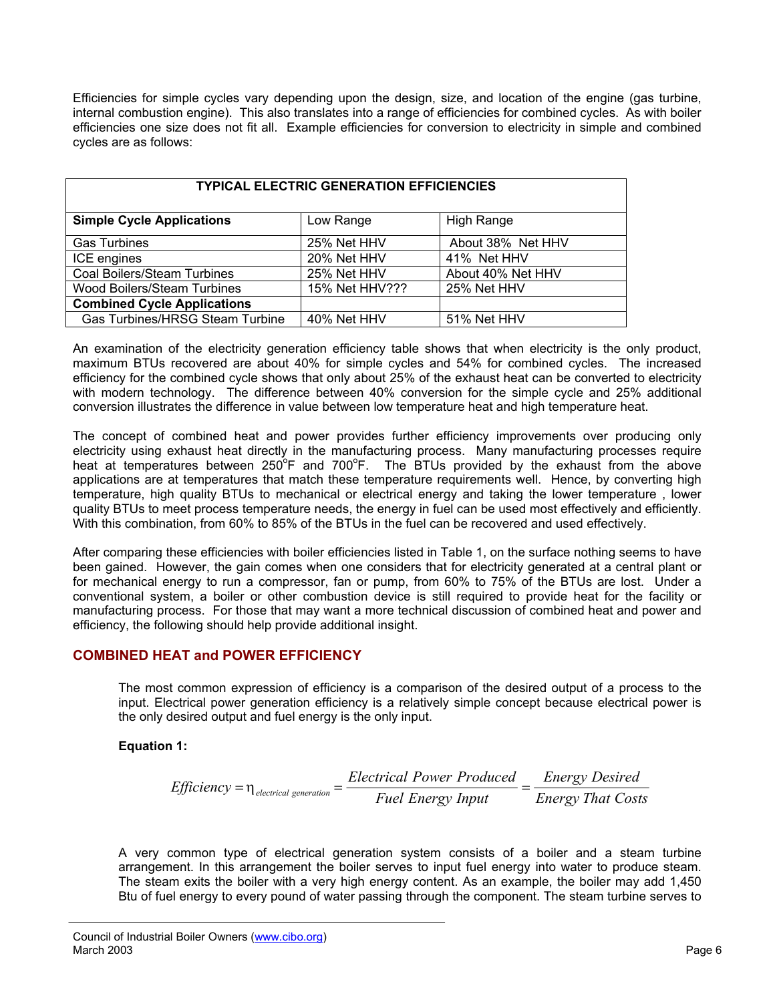Efficiencies for simple cycles vary depending upon the design, size, and location of the engine (gas turbine, internal combustion engine). This also translates into a range of efficiencies for combined cycles. As with boiler efficiencies one size does not fit all. Example efficiencies for conversion to electricity in simple and combined cycles are as follows:

| <b>TYPICAL ELECTRIC GENERATION EFFICIENCIES</b> |                |                   |  |
|-------------------------------------------------|----------------|-------------------|--|
| <b>Simple Cycle Applications</b>                | Low Range      | High Range        |  |
| <b>Gas Turbines</b>                             | 25% Net HHV    | About 38% Net HHV |  |
| ICE engines                                     | 20% Net HHV    | 41% Net HHV       |  |
| Coal Boilers/Steam Turbines                     | 25% Net HHV    | About 40% Net HHV |  |
| Wood Boilers/Steam Turbines                     | 15% Net HHV??? | 25% Net HHV       |  |
| <b>Combined Cycle Applications</b>              |                |                   |  |
| <b>Gas Turbines/HRSG Steam Turbine</b>          | 40% Net HHV    | 51% Net HHV       |  |

An examination of the electricity generation efficiency table shows that when electricity is the only product, maximum BTUs recovered are about 40% for simple cycles and 54% for combined cycles. The increased efficiency for the combined cycle shows that only about 25% of the exhaust heat can be converted to electricity with modern technology. The difference between 40% conversion for the simple cycle and 25% additional conversion illustrates the difference in value between low temperature heat and high temperature heat.

The concept of combined heat and power provides further efficiency improvements over producing only electricity using exhaust heat directly in the manufacturing process. Many manufacturing processes require heat at temperatures between 250°F and 700°F. The BTUs provided by the exhaust from the above applications are at temperatures that match these temperature requirements well. Hence, by converting high temperature, high quality BTUs to mechanical or electrical energy and taking the lower temperature , lower quality BTUs to meet process temperature needs, the energy in fuel can be used most effectively and efficiently. With this combination, from 60% to 85% of the BTUs in the fuel can be recovered and used effectively.

After comparing these efficiencies with boiler efficiencies listed in Table 1, on the surface nothing seems to have been gained. However, the gain comes when one considers that for electricity generated at a central plant or for mechanical energy to run a compressor, fan or pump, from 60% to 75% of the BTUs are lost. Under a conventional system, a boiler or other combustion device is still required to provide heat for the facility or manufacturing process. For those that may want a more technical discussion of combined heat and power and efficiency, the following should help provide additional insight.

# **COMBINED HEAT and POWER EFFICIENCY**

The most common expression of efficiency is a comparison of the desired output of a process to the input. Electrical power generation efficiency is a relatively simple concept because electrical power is the only desired output and fuel energy is the only input.

#### **Equation 1:**

*Efficiency* = 
$$
\eta_{electrical generation}
$$
 =  $\frac{Electrical Power produced}{Fuel Energy Input}$  =  $\frac{Energy Desired}{Energy That Costs}$ 

A very common type of electrical generation system consists of a boiler and a steam turbine arrangement. In this arrangement the boiler serves to input fuel energy into water to produce steam. The steam exits the boiler with a very high energy content. As an example, the boiler may add 1,450 Btu of fuel energy to every pound of water passing through the component. The steam turbine serves to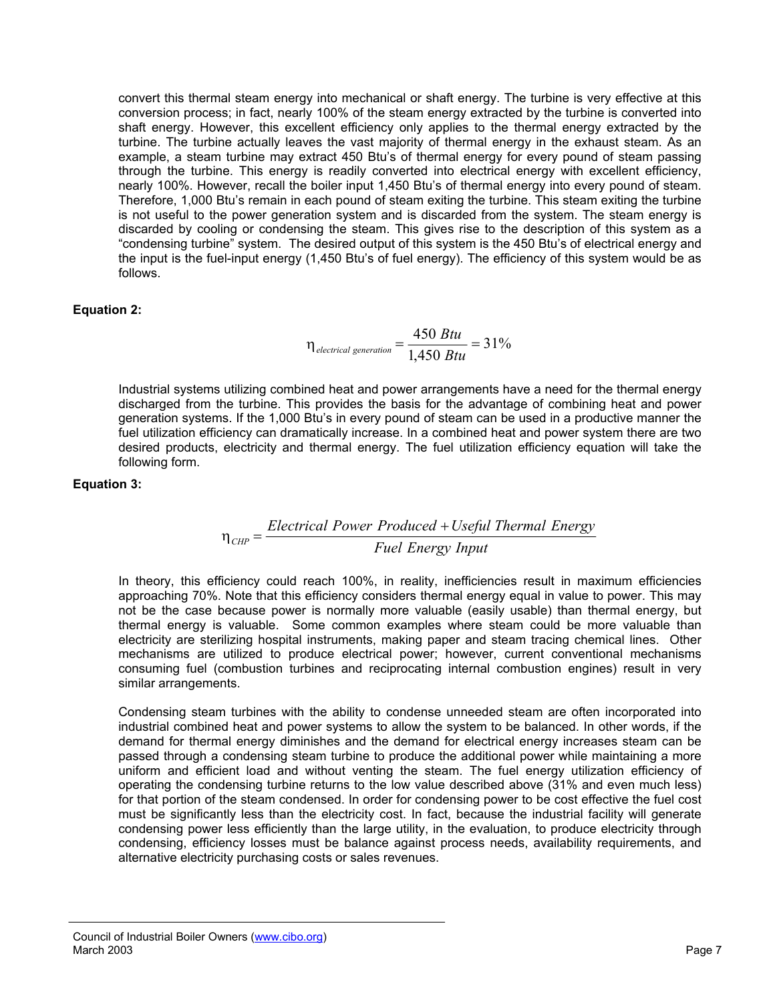convert this thermal steam energy into mechanical or shaft energy. The turbine is very effective at this conversion process; in fact, nearly 100% of the steam energy extracted by the turbine is converted into shaft energy. However, this excellent efficiency only applies to the thermal energy extracted by the turbine. The turbine actually leaves the vast majority of thermal energy in the exhaust steam. As an example, a steam turbine may extract 450 Btu's of thermal energy for every pound of steam passing through the turbine. This energy is readily converted into electrical energy with excellent efficiency, nearly 100%. However, recall the boiler input 1,450 Btu's of thermal energy into every pound of steam. Therefore, 1,000 Btu's remain in each pound of steam exiting the turbine. This steam exiting the turbine is not useful to the power generation system and is discarded from the system. The steam energy is discarded by cooling or condensing the steam. This gives rise to the description of this system as a "condensing turbine" system. The desired output of this system is the 450 Btu's of electrical energy and the input is the fuel-input energy (1,450 Btu's of fuel energy). The efficiency of this system would be as follows.

#### **Equation 2:**

$$
\eta_{\text{electrical generation}} = \frac{450 \, Btu}{1,450 \, Btu} = 31\%
$$

Industrial systems utilizing combined heat and power arrangements have a need for the thermal energy discharged from the turbine. This provides the basis for the advantage of combining heat and power generation systems. If the 1,000 Btu's in every pound of steam can be used in a productive manner the fuel utilization efficiency can dramatically increase. In a combined heat and power system there are two desired products, electricity and thermal energy. The fuel utilization efficiency equation will take the following form.

#### **Equation 3:**

#### *Fuel Energy Input Electrical Power Produced Useful Thermal Energy CHP*  $\eta_{\mu\nu} = \frac{Electrical\ Power\ produced + E}{E}$

In theory, this efficiency could reach 100%, in reality, inefficiencies result in maximum efficiencies approaching 70%. Note that this efficiency considers thermal energy equal in value to power. This may not be the case because power is normally more valuable (easily usable) than thermal energy, but thermal energy is valuable. Some common examples where steam could be more valuable than electricity are sterilizing hospital instruments, making paper and steam tracing chemical lines. Other mechanisms are utilized to produce electrical power; however, current conventional mechanisms consuming fuel (combustion turbines and reciprocating internal combustion engines) result in very similar arrangements.

Condensing steam turbines with the ability to condense unneeded steam are often incorporated into industrial combined heat and power systems to allow the system to be balanced. In other words, if the demand for thermal energy diminishes and the demand for electrical energy increases steam can be passed through a condensing steam turbine to produce the additional power while maintaining a more uniform and efficient load and without venting the steam. The fuel energy utilization efficiency of operating the condensing turbine returns to the low value described above (31% and even much less) for that portion of the steam condensed. In order for condensing power to be cost effective the fuel cost must be significantly less than the electricity cost. In fact, because the industrial facility will generate condensing power less efficiently than the large utility, in the evaluation, to produce electricity through condensing, efficiency losses must be balance against process needs, availability requirements, and alternative electricity purchasing costs or sales revenues.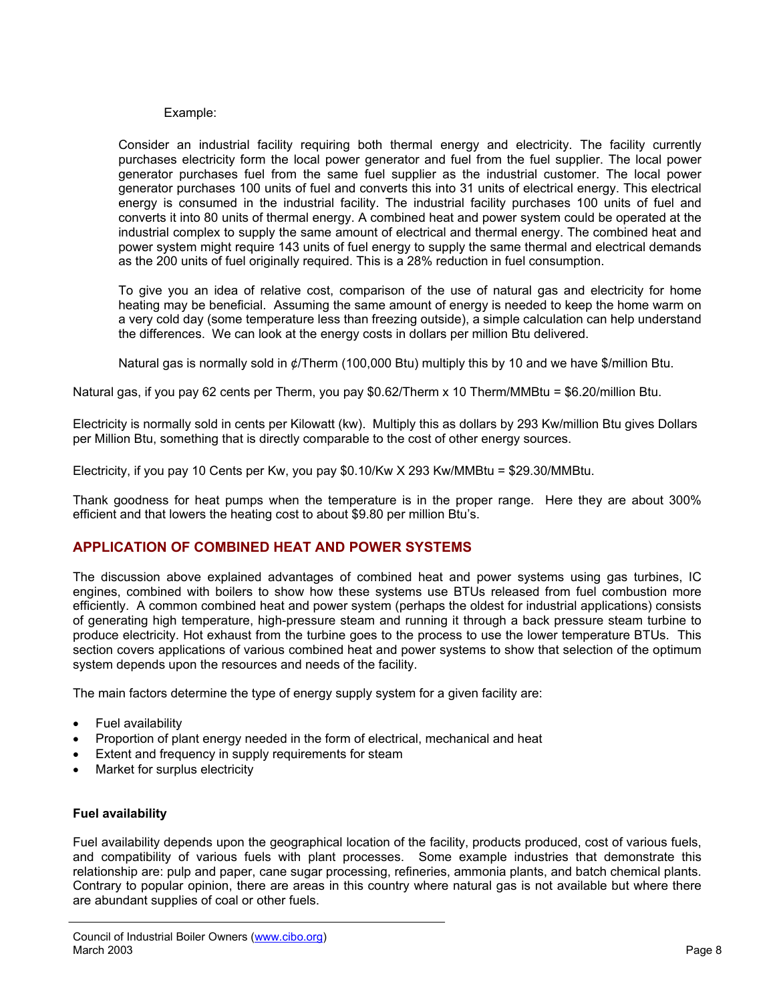#### Example:

Consider an industrial facility requiring both thermal energy and electricity. The facility currently purchases electricity form the local power generator and fuel from the fuel supplier. The local power generator purchases fuel from the same fuel supplier as the industrial customer. The local power generator purchases 100 units of fuel and converts this into 31 units of electrical energy. This electrical energy is consumed in the industrial facility. The industrial facility purchases 100 units of fuel and converts it into 80 units of thermal energy. A combined heat and power system could be operated at the industrial complex to supply the same amount of electrical and thermal energy. The combined heat and power system might require 143 units of fuel energy to supply the same thermal and electrical demands as the 200 units of fuel originally required. This is a 28% reduction in fuel consumption.

To give you an idea of relative cost, comparison of the use of natural gas and electricity for home heating may be beneficial. Assuming the same amount of energy is needed to keep the home warm on a very cold day (some temperature less than freezing outside), a simple calculation can help understand the differences. We can look at the energy costs in dollars per million Btu delivered.

Natural gas is normally sold in ¢/Therm (100,000 Btu) multiply this by 10 and we have \$/million Btu.

Natural gas, if you pay 62 cents per Therm, you pay \$0.62/Therm x 10 Therm/MMBtu = \$6.20/million Btu.

Electricity is normally sold in cents per Kilowatt (kw). Multiply this as dollars by 293 Kw/million Btu gives Dollars per Million Btu, something that is directly comparable to the cost of other energy sources.

Electricity, if you pay 10 Cents per Kw, you pay \$0.10/Kw X 293 Kw/MMBtu = \$29.30/MMBtu.

Thank goodness for heat pumps when the temperature is in the proper range. Here they are about 300% efficient and that lowers the heating cost to about \$9.80 per million Btu's.

#### **APPLICATION OF COMBINED HEAT AND POWER SYSTEMS**

The discussion above explained advantages of combined heat and power systems using gas turbines, IC engines, combined with boilers to show how these systems use BTUs released from fuel combustion more efficiently. A common combined heat and power system (perhaps the oldest for industrial applications) consists of generating high temperature, high-pressure steam and running it through a back pressure steam turbine to produce electricity. Hot exhaust from the turbine goes to the process to use the lower temperature BTUs. This section covers applications of various combined heat and power systems to show that selection of the optimum system depends upon the resources and needs of the facility.

The main factors determine the type of energy supply system for a given facility are:

- Fuel availability
- Proportion of plant energy needed in the form of electrical, mechanical and heat
- Extent and frequency in supply requirements for steam
- Market for surplus electricity

#### **Fuel availability**

Fuel availability depends upon the geographical location of the facility, products produced, cost of various fuels, and compatibility of various fuels with plant processes. Some example industries that demonstrate this relationship are: pulp and paper, cane sugar processing, refineries, ammonia plants, and batch chemical plants. Contrary to popular opinion, there are areas in this country where natural gas is not available but where there are abundant supplies of coal or other fuels.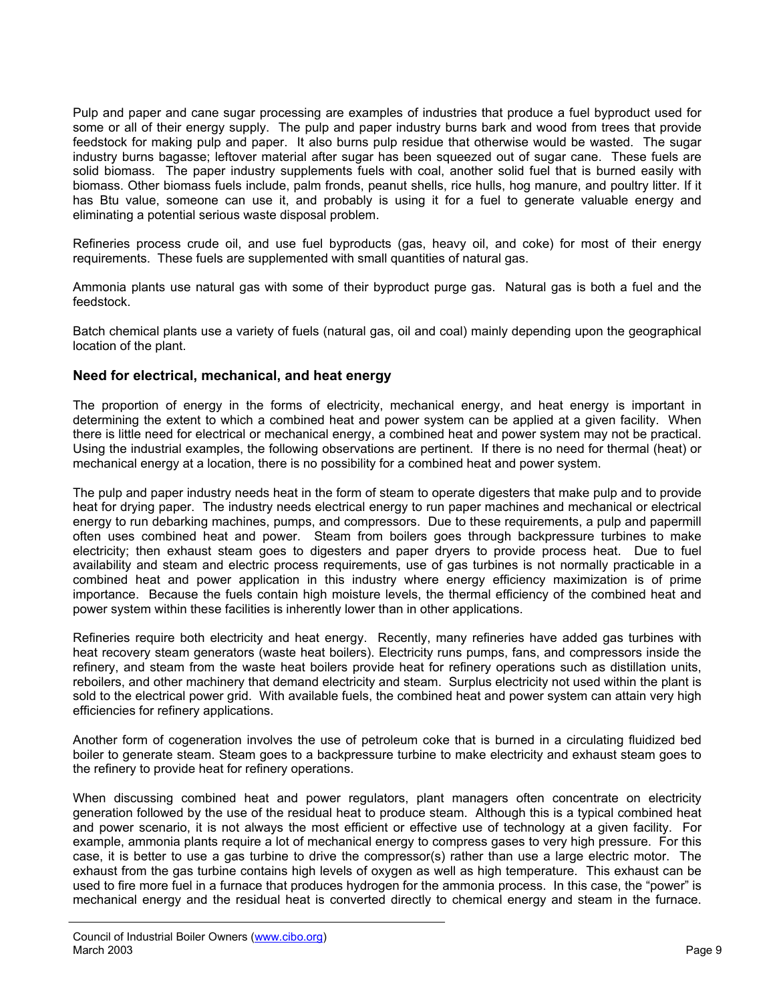Pulp and paper and cane sugar processing are examples of industries that produce a fuel byproduct used for some or all of their energy supply. The pulp and paper industry burns bark and wood from trees that provide feedstock for making pulp and paper. It also burns pulp residue that otherwise would be wasted. The sugar industry burns bagasse; leftover material after sugar has been squeezed out of sugar cane. These fuels are solid biomass. The paper industry supplements fuels with coal, another solid fuel that is burned easily with biomass. Other biomass fuels include, palm fronds, peanut shells, rice hulls, hog manure, and poultry litter. If it has Btu value, someone can use it, and probably is using it for a fuel to generate valuable energy and eliminating a potential serious waste disposal problem.

Refineries process crude oil, and use fuel byproducts (gas, heavy oil, and coke) for most of their energy requirements. These fuels are supplemented with small quantities of natural gas.

Ammonia plants use natural gas with some of their byproduct purge gas. Natural gas is both a fuel and the feedstock.

Batch chemical plants use a variety of fuels (natural gas, oil and coal) mainly depending upon the geographical location of the plant.

#### **Need for electrical, mechanical, and heat energy**

The proportion of energy in the forms of electricity, mechanical energy, and heat energy is important in determining the extent to which a combined heat and power system can be applied at a given facility. When there is little need for electrical or mechanical energy, a combined heat and power system may not be practical. Using the industrial examples, the following observations are pertinent. If there is no need for thermal (heat) or mechanical energy at a location, there is no possibility for a combined heat and power system.

The pulp and paper industry needs heat in the form of steam to operate digesters that make pulp and to provide heat for drying paper. The industry needs electrical energy to run paper machines and mechanical or electrical energy to run debarking machines, pumps, and compressors. Due to these requirements, a pulp and papermill often uses combined heat and power. Steam from boilers goes through backpressure turbines to make electricity; then exhaust steam goes to digesters and paper dryers to provide process heat. Due to fuel availability and steam and electric process requirements, use of gas turbines is not normally practicable in a combined heat and power application in this industry where energy efficiency maximization is of prime importance. Because the fuels contain high moisture levels, the thermal efficiency of the combined heat and power system within these facilities is inherently lower than in other applications.

Refineries require both electricity and heat energy. Recently, many refineries have added gas turbines with heat recovery steam generators (waste heat boilers). Electricity runs pumps, fans, and compressors inside the refinery, and steam from the waste heat boilers provide heat for refinery operations such as distillation units, reboilers, and other machinery that demand electricity and steam. Surplus electricity not used within the plant is sold to the electrical power grid. With available fuels, the combined heat and power system can attain very high efficiencies for refinery applications.

Another form of cogeneration involves the use of petroleum coke that is burned in a circulating fluidized bed boiler to generate steam. Steam goes to a backpressure turbine to make electricity and exhaust steam goes to the refinery to provide heat for refinery operations.

When discussing combined heat and power regulators, plant managers often concentrate on electricity generation followed by the use of the residual heat to produce steam. Although this is a typical combined heat and power scenario, it is not always the most efficient or effective use of technology at a given facility. For example, ammonia plants require a lot of mechanical energy to compress gases to very high pressure. For this case, it is better to use a gas turbine to drive the compressor(s) rather than use a large electric motor. The exhaust from the gas turbine contains high levels of oxygen as well as high temperature. This exhaust can be used to fire more fuel in a furnace that produces hydrogen for the ammonia process. In this case, the "power" is mechanical energy and the residual heat is converted directly to chemical energy and steam in the furnace.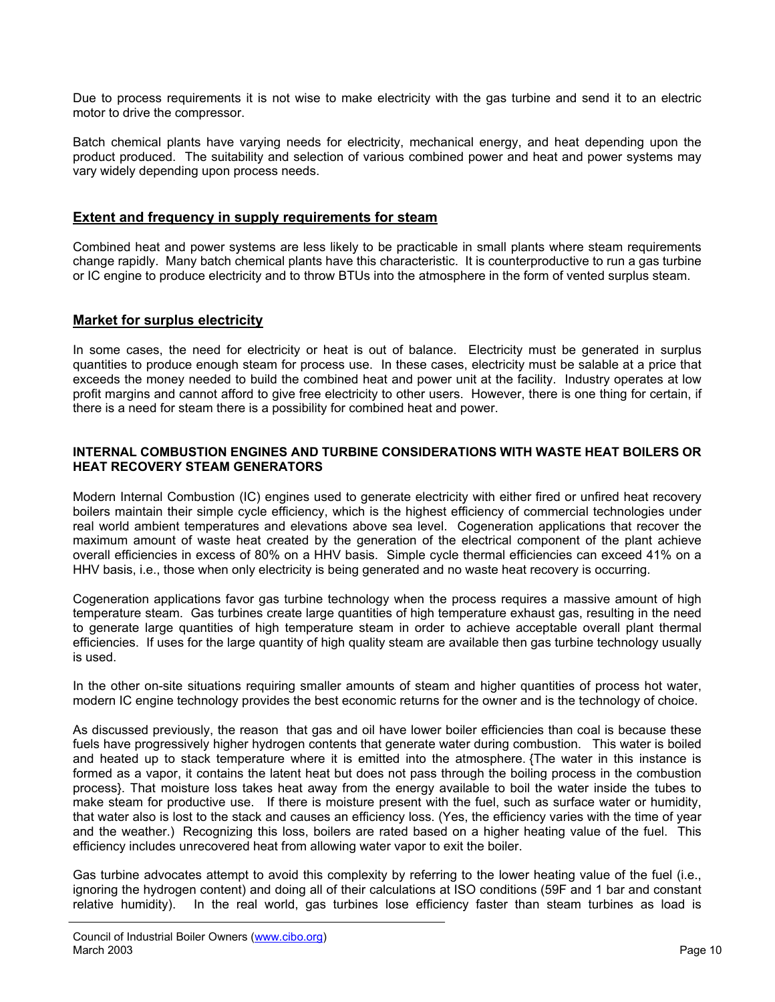Due to process requirements it is not wise to make electricity with the gas turbine and send it to an electric motor to drive the compressor.

Batch chemical plants have varying needs for electricity, mechanical energy, and heat depending upon the product produced. The suitability and selection of various combined power and heat and power systems may vary widely depending upon process needs.

#### **Extent and frequency in supply requirements for steam**

Combined heat and power systems are less likely to be practicable in small plants where steam requirements change rapidly. Many batch chemical plants have this characteristic. It is counterproductive to run a gas turbine or IC engine to produce electricity and to throw BTUs into the atmosphere in the form of vented surplus steam.

### **Market for surplus electricity**

In some cases, the need for electricity or heat is out of balance. Electricity must be generated in surplus quantities to produce enough steam for process use. In these cases, electricity must be salable at a price that exceeds the money needed to build the combined heat and power unit at the facility. Industry operates at low profit margins and cannot afford to give free electricity to other users. However, there is one thing for certain, if there is a need for steam there is a possibility for combined heat and power.

#### **INTERNAL COMBUSTION ENGINES AND TURBINE CONSIDERATIONS WITH WASTE HEAT BOILERS OR HEAT RECOVERY STEAM GENERATORS**

Modern Internal Combustion (IC) engines used to generate electricity with either fired or unfired heat recovery boilers maintain their simple cycle efficiency, which is the highest efficiency of commercial technologies under real world ambient temperatures and elevations above sea level. Cogeneration applications that recover the maximum amount of waste heat created by the generation of the electrical component of the plant achieve overall efficiencies in excess of 80% on a HHV basis. Simple cycle thermal efficiencies can exceed 41% on a HHV basis, i.e., those when only electricity is being generated and no waste heat recovery is occurring.

Cogeneration applications favor gas turbine technology when the process requires a massive amount of high temperature steam. Gas turbines create large quantities of high temperature exhaust gas, resulting in the need to generate large quantities of high temperature steam in order to achieve acceptable overall plant thermal efficiencies. If uses for the large quantity of high quality steam are available then gas turbine technology usually is used.

In the other on-site situations requiring smaller amounts of steam and higher quantities of process hot water, modern IC engine technology provides the best economic returns for the owner and is the technology of choice.

As discussed previously, the reason that gas and oil have lower boiler efficiencies than coal is because these fuels have progressively higher hydrogen contents that generate water during combustion. This water is boiled and heated up to stack temperature where it is emitted into the atmosphere. {The water in this instance is formed as a vapor, it contains the latent heat but does not pass through the boiling process in the combustion process}. That moisture loss takes heat away from the energy available to boil the water inside the tubes to make steam for productive use. If there is moisture present with the fuel, such as surface water or humidity, that water also is lost to the stack and causes an efficiency loss. (Yes, the efficiency varies with the time of year and the weather.) Recognizing this loss, boilers are rated based on a higher heating value of the fuel. This efficiency includes unrecovered heat from allowing water vapor to exit the boiler.

Gas turbine advocates attempt to avoid this complexity by referring to the lower heating value of the fuel (i.e., ignoring the hydrogen content) and doing all of their calculations at ISO conditions (59F and 1 bar and constant relative humidity). In the real world, gas turbines lose efficiency faster than steam turbines as load is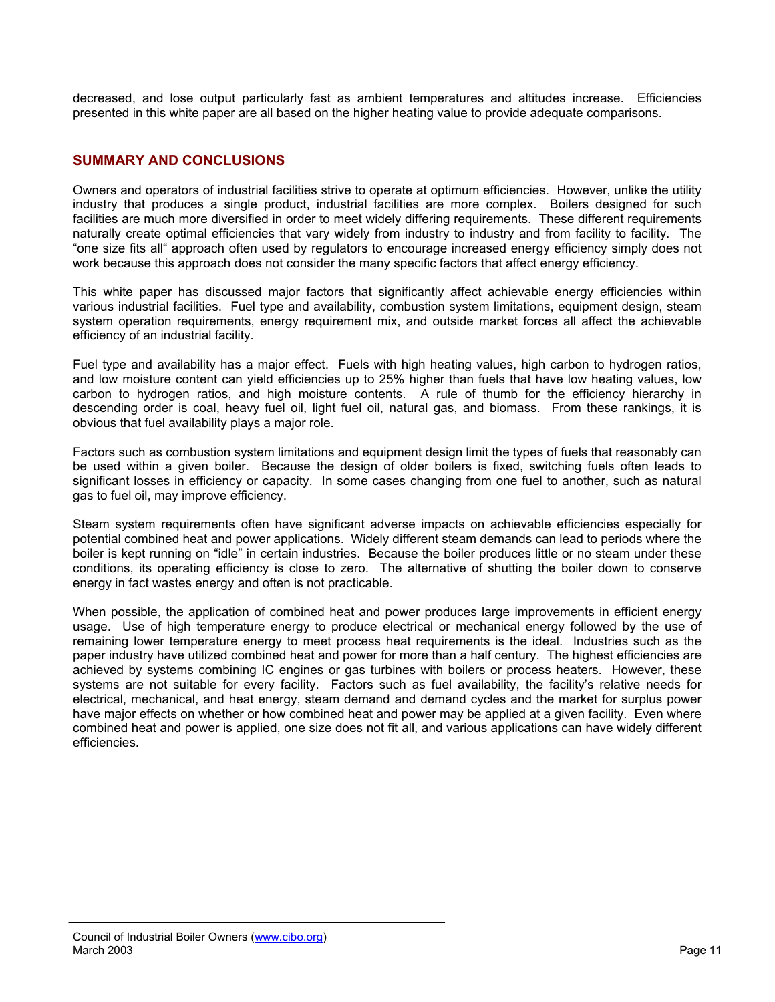decreased, and lose output particularly fast as ambient temperatures and altitudes increase. Efficiencies presented in this white paper are all based on the higher heating value to provide adequate comparisons.

### **SUMMARY AND CONCLUSIONS**

Owners and operators of industrial facilities strive to operate at optimum efficiencies. However, unlike the utility industry that produces a single product, industrial facilities are more complex. Boilers designed for such facilities are much more diversified in order to meet widely differing requirements. These different requirements naturally create optimal efficiencies that vary widely from industry to industry and from facility to facility. The "one size fits all" approach often used by regulators to encourage increased energy efficiency simply does not work because this approach does not consider the many specific factors that affect energy efficiency.

This white paper has discussed major factors that significantly affect achievable energy efficiencies within various industrial facilities. Fuel type and availability, combustion system limitations, equipment design, steam system operation requirements, energy requirement mix, and outside market forces all affect the achievable efficiency of an industrial facility.

Fuel type and availability has a major effect. Fuels with high heating values, high carbon to hydrogen ratios, and low moisture content can yield efficiencies up to 25% higher than fuels that have low heating values, low carbon to hydrogen ratios, and high moisture contents. A rule of thumb for the efficiency hierarchy in descending order is coal, heavy fuel oil, light fuel oil, natural gas, and biomass. From these rankings, it is obvious that fuel availability plays a major role.

Factors such as combustion system limitations and equipment design limit the types of fuels that reasonably can be used within a given boiler. Because the design of older boilers is fixed, switching fuels often leads to significant losses in efficiency or capacity. In some cases changing from one fuel to another, such as natural gas to fuel oil, may improve efficiency.

Steam system requirements often have significant adverse impacts on achievable efficiencies especially for potential combined heat and power applications. Widely different steam demands can lead to periods where the boiler is kept running on "idle" in certain industries. Because the boiler produces little or no steam under these conditions, its operating efficiency is close to zero. The alternative of shutting the boiler down to conserve energy in fact wastes energy and often is not practicable.

When possible, the application of combined heat and power produces large improvements in efficient energy usage. Use of high temperature energy to produce electrical or mechanical energy followed by the use of remaining lower temperature energy to meet process heat requirements is the ideal. Industries such as the paper industry have utilized combined heat and power for more than a half century. The highest efficiencies are achieved by systems combining IC engines or gas turbines with boilers or process heaters. However, these systems are not suitable for every facility. Factors such as fuel availability, the facility's relative needs for electrical, mechanical, and heat energy, steam demand and demand cycles and the market for surplus power have major effects on whether or how combined heat and power may be applied at a given facility. Even where combined heat and power is applied, one size does not fit all, and various applications can have widely different efficiencies.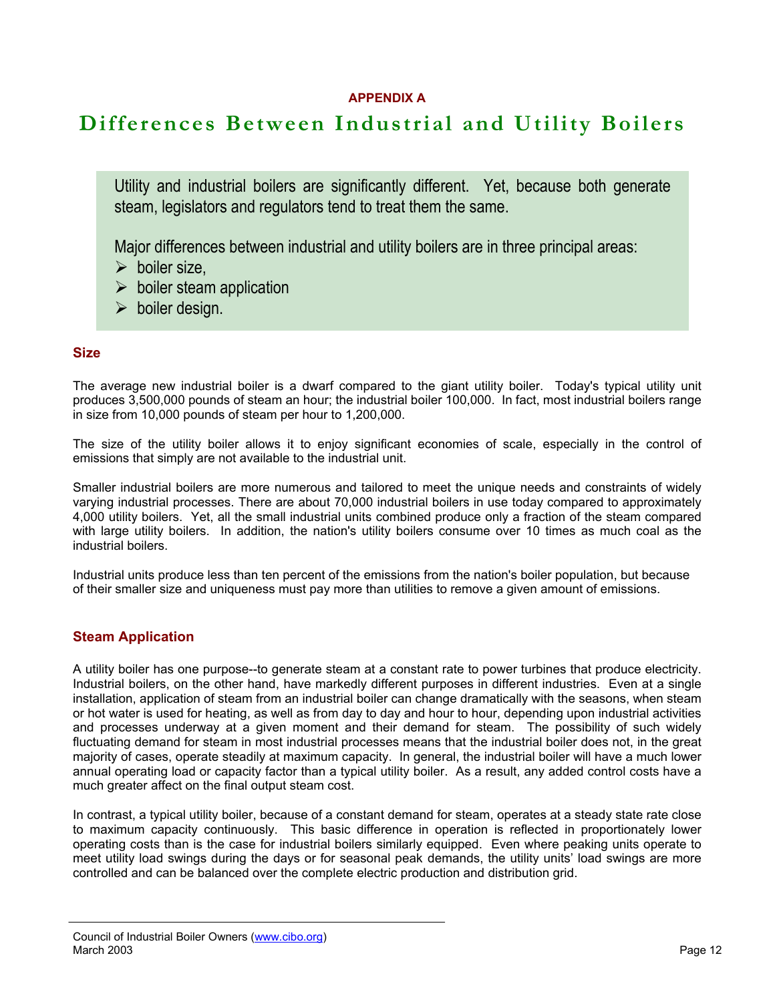# **APPENDIX A**

# **Differences Between Industrial and Utility Boilers**

Utility and industrial boilers are significantly different. Yet, because both generate steam, legislators and regulators tend to treat them the same.

Major differences between industrial and utility boilers are in three principal areas:

- $\triangleright$  boiler size,
- $\triangleright$  boiler steam application
- $\triangleright$  boiler design.

# **Size**

The average new industrial boiler is a dwarf compared to the giant utility boiler. Today's typical utility unit produces 3,500,000 pounds of steam an hour; the industrial boiler 100,000. In fact, most industrial boilers range in size from 10,000 pounds of steam per hour to 1,200,000.

The size of the utility boiler allows it to enjoy significant economies of scale, especially in the control of emissions that simply are not available to the industrial unit.

Smaller industrial boilers are more numerous and tailored to meet the unique needs and constraints of widely varying industrial processes. There are about 70,000 industrial boilers in use today compared to approximately 4,000 utility boilers. Yet, all the small industrial units combined produce only a fraction of the steam compared with large utility boilers. In addition, the nation's utility boilers consume over 10 times as much coal as the industrial boilers.

Industrial units produce less than ten percent of the emissions from the nation's boiler population, but because of their smaller size and uniqueness must pay more than utilities to remove a given amount of emissions.

# **Steam Application**

A utility boiler has one purpose--to generate steam at a constant rate to power turbines that produce electricity. Industrial boilers, on the other hand, have markedly different purposes in different industries. Even at a single installation, application of steam from an industrial boiler can change dramatically with the seasons, when steam or hot water is used for heating, as well as from day to day and hour to hour, depending upon industrial activities and processes underway at a given moment and their demand for steam. The possibility of such widely fluctuating demand for steam in most industrial processes means that the industrial boiler does not, in the great majority of cases, operate steadily at maximum capacity. In general, the industrial boiler will have a much lower annual operating load or capacity factor than a typical utility boiler. As a result, any added control costs have a much greater affect on the final output steam cost.

In contrast, a typical utility boiler, because of a constant demand for steam, operates at a steady state rate close to maximum capacity continuously. This basic difference in operation is reflected in proportionately lower operating costs than is the case for industrial boilers similarly equipped. Even where peaking units operate to meet utility load swings during the days or for seasonal peak demands, the utility units' load swings are more controlled and can be balanced over the complete electric production and distribution grid.